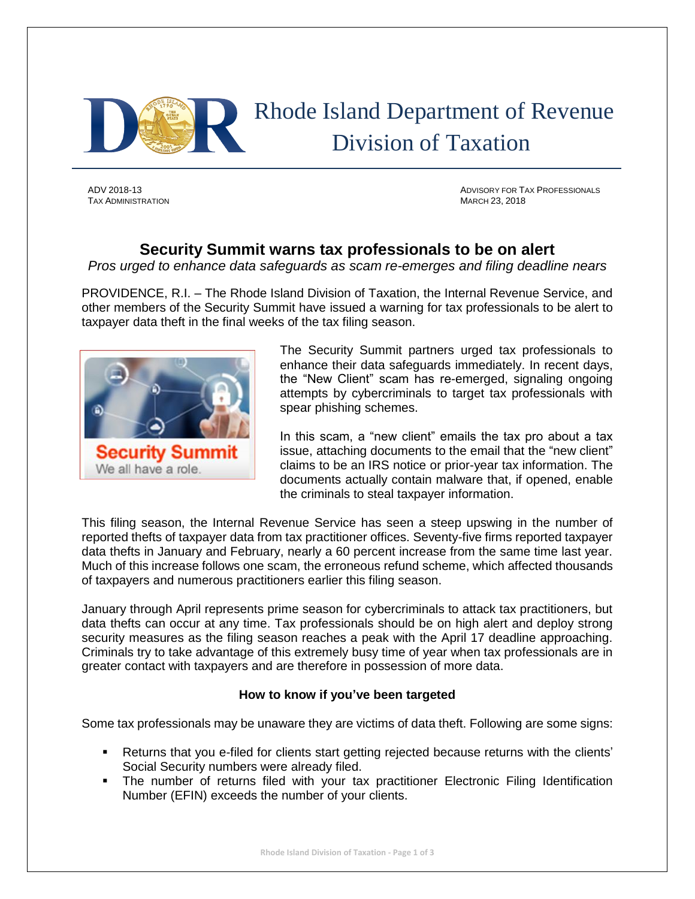

TAX ADMINISTRATION MARCH 23, 2018

ADV 2018-13 ADVISORY FOR TAX PROFESSIONALS

## **Security Summit warns tax professionals to be on alert**

*Pros urged to enhance data safeguards as scam re-emerges and filing deadline nears*

PROVIDENCE, R.I. – The Rhode Island Division of Taxation, the Internal Revenue Service, and other members of the Security Summit have issued a warning for tax professionals to be alert to taxpayer data theft in the final weeks of the tax filing season.



The Security Summit partners urged tax professionals to enhance their data safeguards immediately. In recent days, the "New Client" scam has re-emerged, signaling ongoing attempts by cybercriminals to target tax professionals with spear phishing schemes.

In this scam, a "new client" emails the tax pro about a tax issue, attaching documents to the email that the "new client" claims to be an IRS notice or prior-year tax information. The documents actually contain malware that, if opened, enable the criminals to steal taxpayer information.

This filing season, the Internal Revenue Service has seen a steep upswing in the number of reported thefts of taxpayer data from tax practitioner offices. Seventy-five firms reported taxpayer data thefts in January and February, nearly a 60 percent increase from the same time last year. Much of this increase follows one scam, the erroneous refund scheme, which affected thousands of taxpayers and numerous practitioners earlier this filing season.

January through April represents prime season for cybercriminals to attack tax practitioners, but data thefts can occur at any time. Tax professionals should be on high alert and deploy strong security measures as the filing season reaches a peak with the April 17 deadline approaching. Criminals try to take advantage of this extremely busy time of year when tax professionals are in greater contact with taxpayers and are therefore in possession of more data.

## **How to know if you've been targeted**

Some tax professionals may be unaware they are victims of data theft. Following are some signs:

- Returns that you e-filed for clients start getting rejected because returns with the clients' Social Security numbers were already filed.
- The number of returns filed with your tax practitioner Electronic Filing Identification Number (EFIN) exceeds the number of your clients.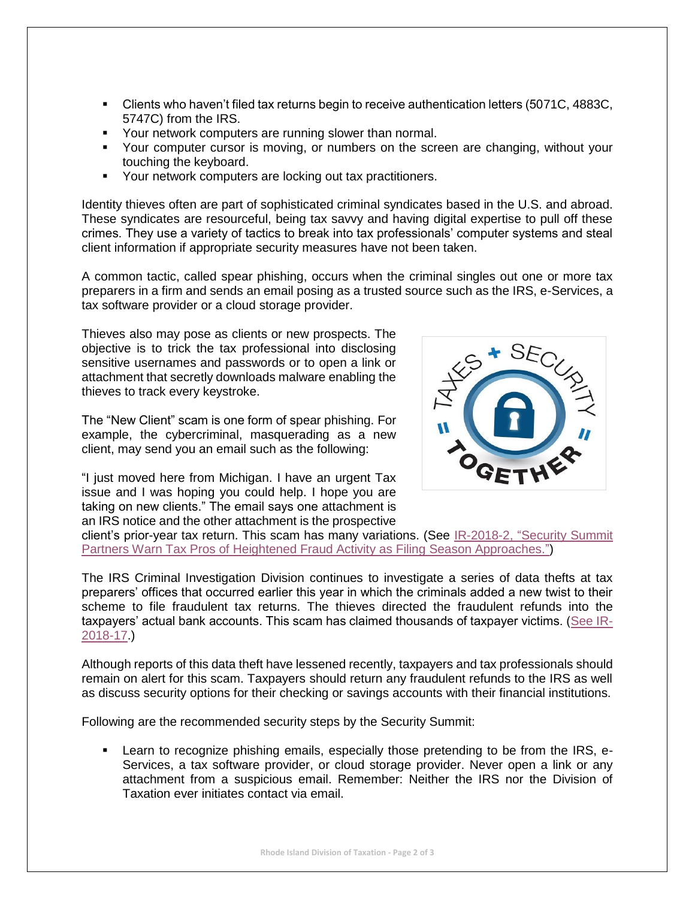- Clients who haven't filed tax returns begin to receive authentication letters (5071C, 4883C, 5747C) from the IRS.
- Your network computers are running slower than normal.
- Your computer cursor is moving, or numbers on the screen are changing, without your touching the keyboard.
- Your network computers are locking out tax practitioners.

Identity thieves often are part of sophisticated criminal syndicates based in the U.S. and abroad. These syndicates are resourceful, being tax savvy and having digital expertise to pull off these crimes. They use a variety of tactics to break into tax professionals' computer systems and steal client information if appropriate security measures have not been taken.

A common tactic, called spear phishing, occurs when the criminal singles out one or more tax preparers in a firm and sends an email posing as a trusted source such as the IRS, e-Services, a tax software provider or a cloud storage provider.

Thieves also may pose as clients or new prospects. The objective is to trick the tax professional into disclosing sensitive usernames and passwords or to open a link or attachment that secretly downloads malware enabling the thieves to track every keystroke.

The "New Client" scam is one form of spear phishing. For example, the cybercriminal, masquerading as a new client, may send you an email such as the following:

"I just moved here from Michigan. I have an urgent Tax issue and I was hoping you could help. I hope you are taking on new clients." The email says one attachment is an IRS notice and the other attachment is the prospective



client's prior-year tax return. This scam has many variations. (See [IR-2018-2, "Security Summit](https://www.irs.gov/newsroom/security-summit-partners-warn-tax-pros-of-heightened-fraud-activity-as-filing-season-approaches)  [Partners Warn Tax Pros of Heightened Fraud Activity as Filing Season Approaches."\)](https://www.irs.gov/newsroom/security-summit-partners-warn-tax-pros-of-heightened-fraud-activity-as-filing-season-approaches)

The IRS Criminal Investigation Division continues to investigate a series of data thefts at tax preparers' offices that occurred earlier this year in which the criminals added a new twist to their scheme to file fraudulent tax returns. The thieves directed the fraudulent refunds into the taxpayers' actual bank accounts. This scam has claimed thousands of taxpayer victims. [\(See IR-](https://www.irs.gov/newsroom/tax-pros-urged-to-step-up-security-as-filing-scheme-emerges-reminded-to-report-data-thefts)[2018-17.](https://www.irs.gov/newsroom/tax-pros-urged-to-step-up-security-as-filing-scheme-emerges-reminded-to-report-data-thefts))

Although reports of this data theft have lessened recently, taxpayers and tax professionals should remain on alert for this scam. Taxpayers should return any fraudulent refunds to the IRS as well as discuss security options for their checking or savings accounts with their financial institutions.

Following are the recommended security steps by the Security Summit:

 Learn to recognize phishing emails, especially those pretending to be from the IRS, e-Services, a tax software provider, or cloud storage provider. Never open a link or any attachment from a suspicious email. Remember: Neither the IRS nor the Division of Taxation ever initiates contact via email.